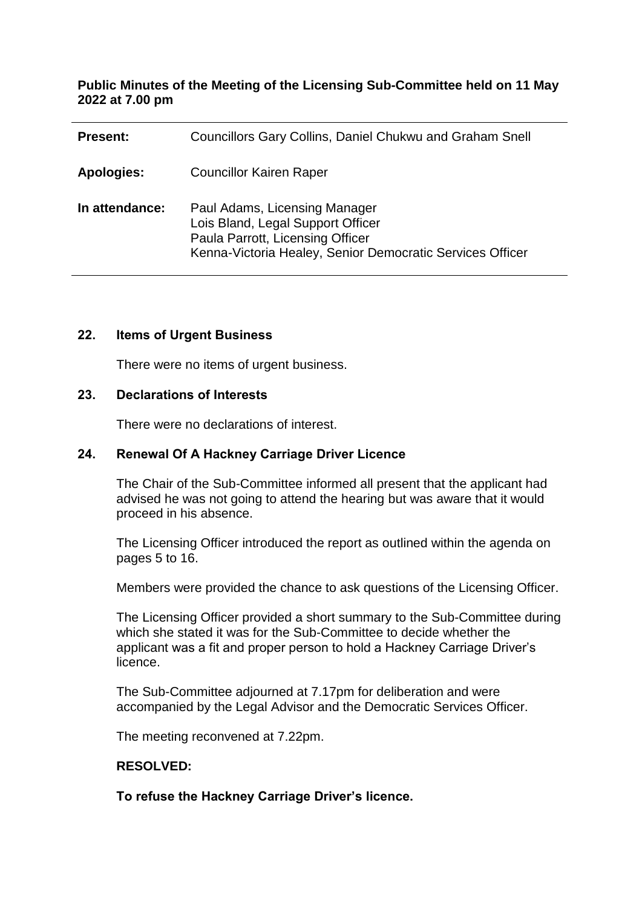### **Public Minutes of the Meeting of the Licensing Sub-Committee held on 11 May 2022 at 7.00 pm**

| <b>Present:</b>   | Councillors Gary Collins, Daniel Chukwu and Graham Snell                                                                                                            |
|-------------------|---------------------------------------------------------------------------------------------------------------------------------------------------------------------|
| <b>Apologies:</b> | <b>Councillor Kairen Raper</b>                                                                                                                                      |
| In attendance:    | Paul Adams, Licensing Manager<br>Lois Bland, Legal Support Officer<br>Paula Parrott, Licensing Officer<br>Kenna-Victoria Healey, Senior Democratic Services Officer |

#### **22. Items of Urgent Business**

There were no items of urgent business.

#### **23. Declarations of Interests**

There were no declarations of interest.

## **24. Renewal Of A Hackney Carriage Driver Licence**

The Chair of the Sub-Committee informed all present that the applicant had advised he was not going to attend the hearing but was aware that it would proceed in his absence.

The Licensing Officer introduced the report as outlined within the agenda on pages 5 to 16.

Members were provided the chance to ask questions of the Licensing Officer.

The Licensing Officer provided a short summary to the Sub-Committee during which she stated it was for the Sub-Committee to decide whether the applicant was a fit and proper person to hold a Hackney Carriage Driver's licence.

The Sub-Committee adjourned at 7.17pm for deliberation and were accompanied by the Legal Advisor and the Democratic Services Officer.

The meeting reconvened at 7.22pm.

### **RESOLVED:**

**To refuse the Hackney Carriage Driver's licence.**